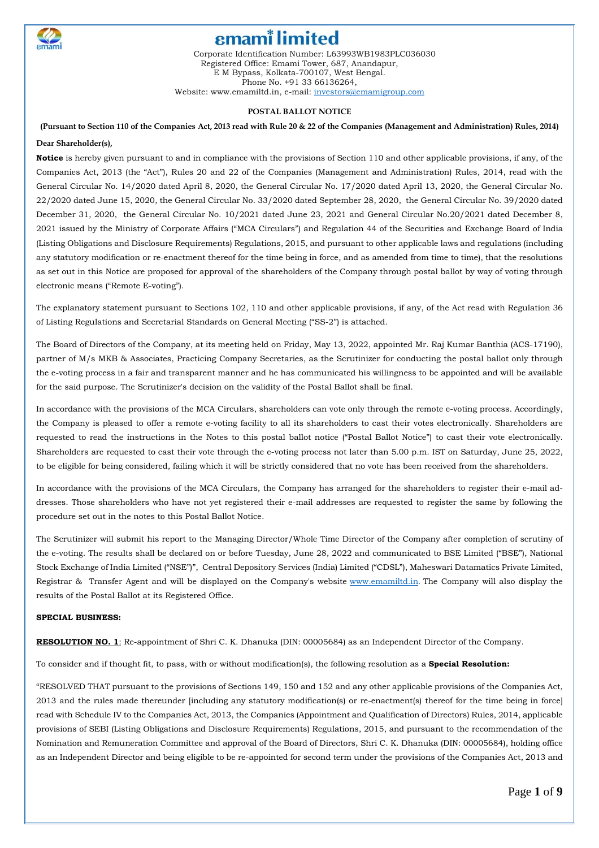

Corporate Identification Number: L63993WB1983PLC036030 Registered Office: Emami Tower, 687, Anandapur, E M Bypass, Kolkata-700107, West Bengal. Phone No. +91 33 66136264, Website: www.emamiltd.in, e-mail: [investors@emamigroup.com](mailto:investors@emamigroup.com)

#### **POSTAL BALLOT NOTICE**

(Pursuant to Section 110 of the Companies Act, 2013 read with Rule 20 & 22 of the Companies (Management and Administration) Rules, 2014)

#### **Dear Shareholder(s),**

**Notice** is hereby given pursuant to and in compliance with the provisions of Section 110 and other applicable provisions, if any, of the Companies Act, 2013 (the "Act"), Rules 20 and 22 of the Companies (Management and Administration) Rules, 2014, read with the General Circular No. 14/2020 dated April 8, 2020, the General Circular No. 17/2020 dated April 13, 2020, the General Circular No. 22/2020 dated June 15, 2020, the General Circular No. 33/2020 dated September 28, 2020, the General Circular No. 39/2020 dated December 31, 2020, the General Circular No. 10/2021 dated June 23, 2021 and General Circular No.20/2021 dated December 8, 2021 issued by the Ministry of Corporate Affairs ("MCA Circulars") and Regulation 44 of the Securities and Exchange Board of India (Listing Obligations and Disclosure Requirements) Regulations, 2015, and pursuant to other applicable laws and regulations (including any statutory modification or re-enactment thereof for the time being in force, and as amended from time to time), that the resolutions as set out in this Notice are proposed for approval of the shareholders of the Company through postal ballot by way of voting through electronic means ("Remote E-voting").

The explanatory statement pursuant to Sections 102, 110 and other applicable provisions, if any, of the Act read with Regulation 36 of Listing Regulations and Secretarial Standards on General Meeting ("SS-2") is attached.

The Board of Directors of the Company, at its meeting held on Friday, May 13, 2022, appointed Mr. Raj Kumar Banthia (ACS-17190), partner of M/s MKB & Associates, Practicing Company Secretaries, as the Scrutinizer for conducting the postal ballot only through the e-voting process in a fair and transparent manner and he has communicated his willingness to be appointed and will be available for the said purpose. The Scrutinizer's decision on the validity of the Postal Ballot shall be final.

In accordance with the provisions of the MCA Circulars, shareholders can vote only through the remote e-voting process. Accordingly, the Company is pleased to offer a remote e-voting facility to all its shareholders to cast their votes electronically. Shareholders are requested to read the instructions in the Notes to this postal ballot notice ("Postal Ballot Notice") to cast their vote electronically. Shareholders are requested to cast their vote through the e-voting process not later than 5.00 p.m. IST on Saturday, June 25, 2022, to be eligible for being considered, failing which it will be strictly considered that no vote has been received from the shareholders.

In accordance with the provisions of the MCA Circulars, the Company has arranged for the shareholders to register their e-mail addresses. Those shareholders who have not yet registered their e-mail addresses are requested to register the same by following the procedure set out in the notes to this Postal Ballot Notice.

The Scrutinizer will submit his report to the Managing Director/Whole Time Director of the Company after completion of scrutiny of the e-voting. The results shall be declared on or before Tuesday, June 28, 2022 and communicated to BSE Limited ("BSE"), National Stock Exchange of India Limited ("NSE")", Central Depository Services (India) Limited ("CDSL"), Maheswari Datamatics Private Limited, Registrar & Transfer Agent and will be displayed on the Company's website [www.emamiltd.in](http://www.emamiltd.in/). The Company will also display the results of the Postal Ballot at its Registered Office.

#### **SPECIAL BUSINESS:**

**RESOLUTION NO. 1**: Re-appointment of Shri C. K. Dhanuka (DIN: 00005684) as an Independent Director of the Company.

To consider and if thought fit, to pass, with or without modification(s), the following resolution as a **Special Resolution:**

"RESOLVED THAT pursuant to the provisions of Sections 149, 150 and 152 and any other applicable provisions of the Companies Act, 2013 and the rules made thereunder [including any statutory modification(s) or re-enactment(s) thereof for the time being in force] read with Schedule IV to the Companies Act, 2013, the Companies (Appointment and Qualification of Directors) Rules, 2014, applicable provisions of SEBI (Listing Obligations and Disclosure Requirements) Regulations, 2015, and pursuant to the recommendation of the Nomination and Remuneration Committee and approval of the Board of Directors, Shri C. K. Dhanuka (DIN: 00005684), holding office as an Independent Director and being eligible to be re-appointed for second term under the provisions of the Companies Act, 2013 and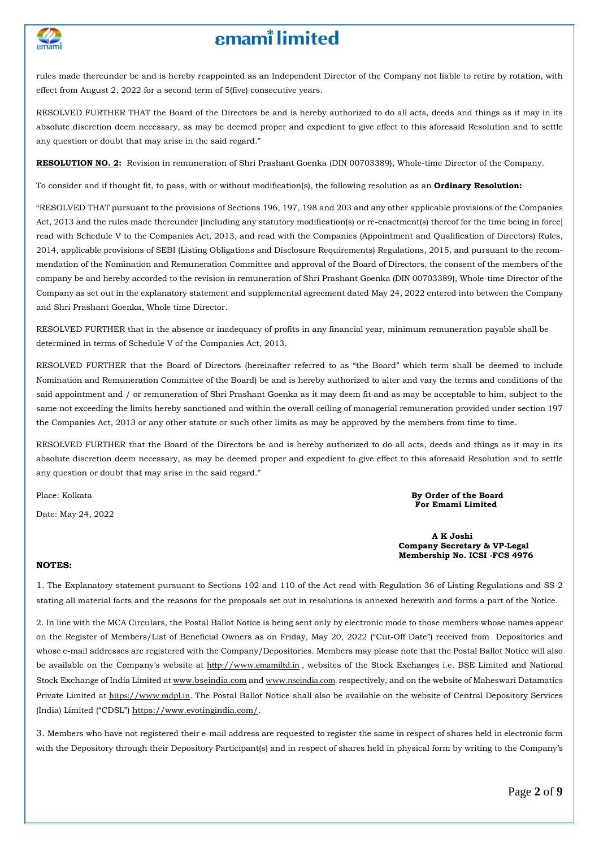

# **emam**<sup>*i*</sup> limited

rules made thereunder be and is hereby reappointed as an Independent Director of the Company not liable to retire by rotation, with effect from August 2, 2022 for a second term of 5(five) consecutive years.

RESOLVED FURTHER THAT the Board of the Directors be and is hereby authorized to do all acts, deeds and things as it may in its absolute discretion deem necessary, as may be deemed proper and expedient to give effect to this aforesaid Resolution and to settle any question or doubt that may arise in the said regard."

**RESOLUTION NO. 2:** Revision in remuneration of Shri Prashant Goenka (DIN 00703389), Whole-time Director of the Company.

To consider and if thought fit, to pass, with or without modification(s), the following resolution as an **Ordinary Resolution:**

"RESOLVED THAT pursuant to the provisions of Sections 196, 197, 198 and 203 and any other applicable provisions of the Companies Act, 2013 and the rules made thereunder [including any statutory modification(s) or re-enactment(s) thereof for the time being in force] read with Schedule V to the Companies Act, 2013, and read with the Companies (Appointment and Qualification of Directors) Rules, 2014, applicable provisions of SEBI (Listing Obligations and Disclosure Requirements) Regulations, 2015, and pursuant to the recommendation of the Nomination and Remuneration Committee and approval of the Board of Directors, the consent of the members of the company be and hereby accorded to the revision in remuneration of Shri Prashant Goenka (DIN 00703389), Whole-time Director of the Company as set out in the explanatory statement and supplemental agreement dated May 24, 2022 entered into between the Company and Shri Prashant Goenka, Whole time Director.

RESOLVED FURTHER that in the absence or inadequacy of profits in any financial year, minimum remuneration payable shall be determined in terms of Schedule V of the Companies Act, 2013.

RESOLVED FURTHER that the Board of Directors (hereinafter referred to as "the Board" which term shall be deemed to include Nomination and Remuneration Committee of the Board) be and is hereby authorized to alter and vary the terms and conditions of the said appointment and / or remuneration of Shri Prashant Goenka as it may deem fit and as may be acceptable to him, subject to the same not exceeding the limits hereby sanctioned and within the overall ceiling of managerial remuneration provided under section 197 the Companies Act, 2013 or any other statute or such other limits as may be approved by the members from time to time.

RESOLVED FURTHER that the Board of the Directors be and is hereby authorized to do all acts, deeds and things as it may in its absolute discretion deem necessary, as may be deemed proper and expedient to give effect to this aforesaid Resolution and to settle any question or doubt that may arise in the said regard."

Date: May 24, 2022

Place: Kolkata **By Order of the Board For Emami Limited**

> **A K Joshi Company Secretary & VP-Legal Membership No. ICSI -FCS 4976**

### **NOTES:**

1. The Explanatory statement pursuant to Sections 102 and 110 of the Act read with Regulation 36 of Listing Regulations and SS-2 stating all material facts and the reasons for the proposals set out in resolutions is annexed herewith and forms a part of the Notice.

2. In line with the MCA Circulars, the Postal Ballot Notice is being sent only by electronic mode to those members whose names appear on the Register of Members/List of Beneficial Owners as on Friday, May 20, 2022 ("Cut-Off Date") received from Depositories and whose e-mail addresses are registered with the Company/Depositories. Members may please note that the Postal Ballot Notice will also be available on the Company's website at [http://www.emamiltd.in](http://www.emamiltd.in/), websites of the Stock Exchanges i.e. BSE Limited and National Stock Exchange of India Limited at [www.bseindia.com](http://www.bseindia.com/) and [www.nseindia.com](http://www.nseindia.com/) respectively, and on the website of Maheswari Datamatics Private Limited at [https://www.mdpl.in](https://www.mdpl.in/). The Postal Ballot Notice shall also be available on the website of Central Depository Services (India) Limited ("CDSL") https://www.evotingindia.com/.

3. Members who have not registered their e-mail address are requested to register the same in respect of shares held in electronic form with the Depository through their Depository Participant(s) and in respect of shares held in physical form by writing to the Company's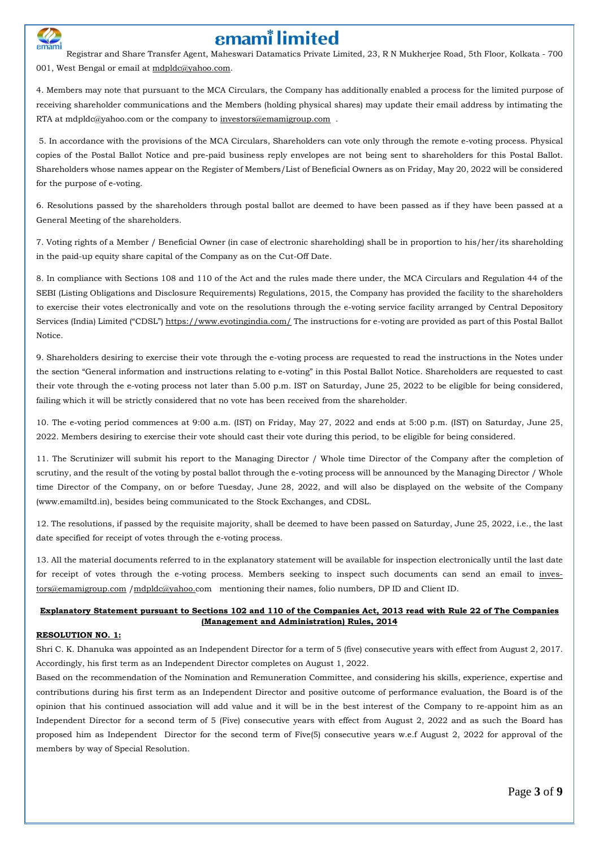

Registrar and Share Transfer Agent, Maheswari Datamatics Private Limited, 23, R N Mukherjee Road, 5th Floor, Kolkata - 700 001, West Bengal or email at mdpldc@yahoo.com.

4. Members may note that pursuant to the MCA Circulars, the Company has additionally enabled a process for the limited purpose of receiving shareholder communications and the Members (holding physical shares) may update their email address by intimating the RTA at [mdpldc@yahoo.com](mailto:mdpldc@yahoo.com) or the company to [investors@emamigroup.com](mailto:investors@emamigroup.com) .

5. In accordance with the provisions of the MCA Circulars, Shareholders can vote only through the remote e-voting process. Physical copies of the Postal Ballot Notice and pre-paid business reply envelopes are not being sent to shareholders for this Postal Ballot. Shareholders whose names appear on the Register of Members/List of Beneficial Owners as on Friday, May 20, 2022 will be considered for the purpose of e-voting.

6. Resolutions passed by the shareholders through postal ballot are deemed to have been passed as if they have been passed at a General Meeting of the shareholders.

7. Voting rights of a Member / Beneficial Owner (in case of electronic shareholding) shall be in proportion to his/her/its shareholding in the paid-up equity share capital of the Company as on the Cut-Off Date.

8. In compliance with Sections 108 and 110 of the Act and the rules made there under, the MCA Circulars and Regulation 44 of the SEBI (Listing Obligations and Disclosure Requirements) Regulations, 2015, the Company has provided the facility to the shareholders to exercise their votes electronically and vote on the resolutions through the e-voting service facility arranged by Central Depository Services (India) Limited ("CDSL") <https://www.evotingindia.com/> The instructions for e-voting are provided as part of this Postal Ballot Notice.

9. Shareholders desiring to exercise their vote through the e-voting process are requested to read the instructions in the Notes under the section "General information and instructions relating to e-voting" in this Postal Ballot Notice. Shareholders are requested to cast their vote through the e-voting process not later than 5.00 p.m. IST on Saturday, June 25, 2022 to be eligible for being considered, failing which it will be strictly considered that no vote has been received from the shareholder.

10. The e-voting period commences at 9:00 a.m. (IST) on Friday, May 27, 2022 and ends at 5:00 p.m. (IST) on Saturday, June 25, 2022. Members desiring to exercise their vote should cast their vote during this period, to be eligible for being considered.

11. The Scrutinizer will submit his report to the Managing Director / Whole time Director of the Company after the completion of scrutiny, and the result of the voting by postal ballot through the e-voting process will be announced by the Managing Director / Whole time Director of the Company, on or before Tuesday, June 28, 2022, and will also be displayed on the website of the Company (www.emamiltd.in), besides being communicated to the Stock Exchanges, and CDSL.

12. The resolutions, if passed by the requisite majority, shall be deemed to have been passed on Saturday, June 25, 2022, i.e., the last date specified for receipt of votes through the e-voting process.

13. All the material documents referred to in the explanatory statement will be available for inspection electronically until the last date for receipt of votes through the e-voting process. Members seeking to inspect such documents can send an email to [inves](mailto:investors@emamigroup.com)[tors@emamigroup.com](mailto:investors@emamigroup.com) [/mdpldc@yahoo.c](mailto:mdpldc@yahoo.)om mentioning their names, folio numbers, DP ID and Client ID.

#### Explanatory Statement pursuant to Sections 102 and 110 of the Companies Act, 2013 read with Rule 22 of The Companies **(Management and Administration) Rules, 2014**

#### **RESOLUTION NO. 1:**

Shri C. K. Dhanuka was appointed as an Independent Director for a term of 5 (five) consecutive years with effect from August 2, 2017. Accordingly, his first term as an Independent Director completes on August 1, 2022.

Based on the recommendation of the Nomination and Remuneration Committee, and considering his skills, experience, expertise and contributions during his first term as an Independent Director and positive outcome of performance evaluation, the Board is of the opinion that his continued association will add value and it will be in the best interest of the Company to re-appoint him as an Independent Director for a second term of 5 (Five) consecutive years with effect from August 2, 2022 and as such the Board has proposed him as Independent Director for the second term of Five(5) consecutive years w.e.f August 2, 2022 for approval of the members by way of Special Resolution.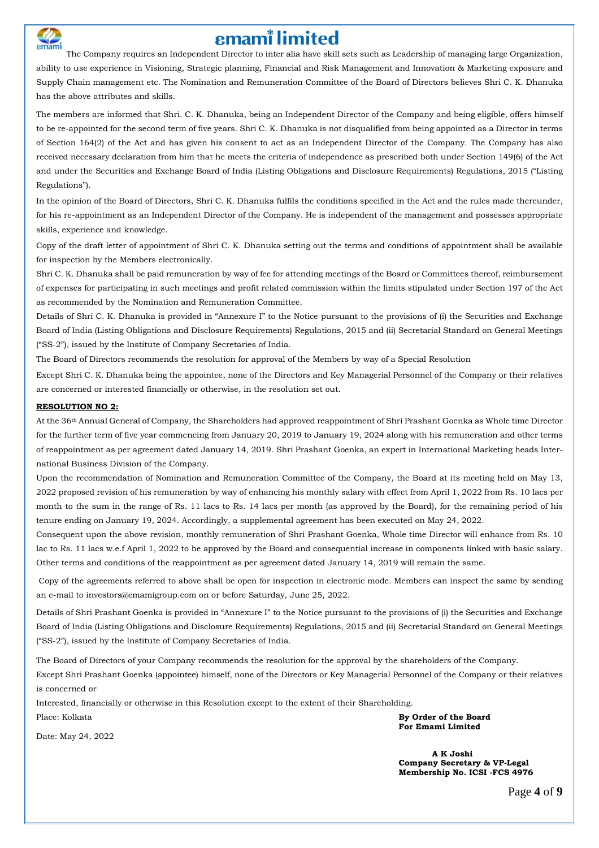

The Company requires an Independent Director to inter alia have skill sets such as Leadership of managing large Organization, ability to use experience in Visioning, Strategic planning, Financial and Risk Management and Innovation & Marketing exposure and Supply Chain management etc. The Nomination and Remuneration Committee of the Board of Directors believes Shri C. K. Dhanuka has the above attributes and skills.

The members are informed that Shri. C. K. Dhanuka, being an Independent Director of the Company and being eligible, offers himself to be re-appointed for the second term of five years. Shri C. K. Dhanuka is not disqualified from being appointed as a Director in terms of Section 164(2) of the Act and has given his consent to act as an Independent Director of the Company. The Company has also received necessary declaration from him that he meets the criteria of independence as prescribed both under Section 149(6) of the Act and under the Securities and Exchange Board of India (Listing Obligations and Disclosure Requirements) Regulations, 2015 ("Listing Regulations").

In the opinion of the Board of Directors, Shri C. K. Dhanuka fulfils the conditions specified in the Act and the rules made thereunder, for his re-appointment as an Independent Director of the Company. He is independent of the management and possesses appropriate skills, experience and knowledge.

Copy of the draft letter of appointment of Shri C. K. Dhanuka setting out the terms and conditions of appointment shall be available for inspection by the Members electronically.

Shri C. K. Dhanuka shall be paid remuneration by way of fee for attending meetings of the Board or Committees thereof, reimbursement of expenses for participating in such meetings and profit related commission within the limits stipulated under Section 197 of the Act as recommended by the Nomination and Remuneration Committee.

Details of Shri C. K. Dhanuka is provided in "Annexure I" to the Notice pursuant to the provisions of (i) the Securities and Exchange Board of India (Listing Obligations and Disclosure Requirements) Regulations, 2015 and (ii) Secretarial Standard on General Meetings ("SS-2"), issued by the Institute of Company Secretaries of India.

The Board of Directors recommends the resolution for approval of the Members by way of a Special Resolution

Except Shri C. K. Dhanuka being the appointee, none of the Directors and Key Managerial Personnel of the Company or their relatives are concerned or interested financially or otherwise, in the resolution set out.

#### **RESOLUTION NO 2:**

At the 36th Annual General of Company, the Shareholders had approved reappointment of Shri Prashant Goenka as Whole time Director for the further term of five year commencing from January 20, 2019 to January 19, 2024 along with his remuneration and other terms of reappointment as per agreement dated January 14, 2019. Shri Prashant Goenka, an expert in International Marketing heads International Business Division of the Company.

Upon the recommendation of Nomination and Remuneration Committee of the Company, the Board at its meeting held on May 13, 2022 proposed revision of his remuneration by way of enhancing his monthly salary with effect from April 1, 2022 from Rs. 10 lacs per month to the sum in the range of Rs. 11 lacs to Rs. 14 lacs per month (as approved by the Board), for the remaining period of his tenure ending on January 19, 2024. Accordingly, a supplemental agreement has been executed on May 24, 2022.

Consequent upon the above revision, monthly remuneration of Shri Prashant Goenka, Whole time Director will enhance from Rs. 10 lac to Rs. 11 lacs w.e.f April 1, 2022 to be approved by the Board and consequential increase in components linked with basic salary. Other terms and conditions of the reappointment as per agreement dated January 14, 2019 will remain the same.

Copy of the agreements referred to above shall be open for inspection in electronic mode. Members can inspect the same by sending an e-mail to [investors@emamigroup.com](mailto:investors@emamigroup.com) on or before Saturday, June 25, 2022.

Details of Shri Prashant Goenka is provided in "Annexure I" to the Notice pursuant to the provisions of (i) the Securities and Exchange Board of India (Listing Obligations and Disclosure Requirements) Regulations, 2015 and (ii) Secretarial Standard on General Meetings ("SS-2"), issued by the Institute of Company Secretaries of India.

The Board of Directors of your Company recommends the resolution for the approval by the shareholders of the Company.

Except Shri Prashant Goenka (appointee) himself, none of the Directors or Key Managerial Personnel of the Company or their relatives is concerned or

Interested, financially or otherwise in this Resolution except to the extent of their Shareholding.

Place: Kolkata **By Order of the Board For Emami Limited**

 **A K Joshi Company Secretary & VP-Legal Membership No. ICSI -FCS 4976**

Date: May 24, 2022

Page **4** of **9**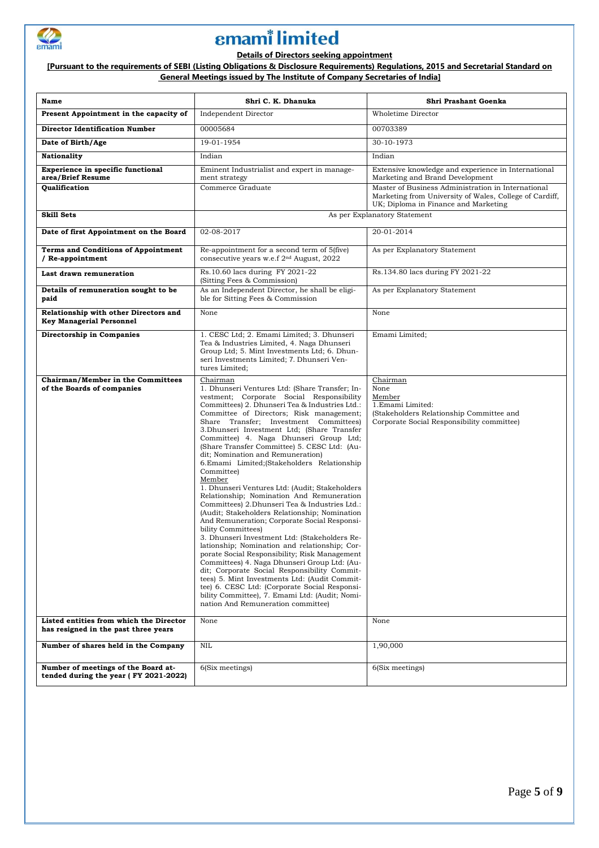

### **Details of Directors seeking appointment**

[Pursuant to the requirements of SEBI (Listing Obligations & Disclosure Requirements) Regulations, 2015 and Secretarial Standard on **General Meetings issued by The Institute of Company Secretaries of India]**

| Name                                                                            | Shri C. K. Dhanuka                                                                                                                                                                                                                                                                                                                                                                                                                                                                                                                                                                                                                                                                                                                                                                                                                                                                                                                                                                                                                                                                                                                                                                                                      | Shri Prashant Goenka                                                                                                                                  |
|---------------------------------------------------------------------------------|-------------------------------------------------------------------------------------------------------------------------------------------------------------------------------------------------------------------------------------------------------------------------------------------------------------------------------------------------------------------------------------------------------------------------------------------------------------------------------------------------------------------------------------------------------------------------------------------------------------------------------------------------------------------------------------------------------------------------------------------------------------------------------------------------------------------------------------------------------------------------------------------------------------------------------------------------------------------------------------------------------------------------------------------------------------------------------------------------------------------------------------------------------------------------------------------------------------------------|-------------------------------------------------------------------------------------------------------------------------------------------------------|
| Present Appointment in the capacity of                                          | Independent Director                                                                                                                                                                                                                                                                                                                                                                                                                                                                                                                                                                                                                                                                                                                                                                                                                                                                                                                                                                                                                                                                                                                                                                                                    | Wholetime Director                                                                                                                                    |
| <b>Director Identification Number</b>                                           | 00005684                                                                                                                                                                                                                                                                                                                                                                                                                                                                                                                                                                                                                                                                                                                                                                                                                                                                                                                                                                                                                                                                                                                                                                                                                | 00703389                                                                                                                                              |
| Date of Birth/Age                                                               | 19-01-1954                                                                                                                                                                                                                                                                                                                                                                                                                                                                                                                                                                                                                                                                                                                                                                                                                                                                                                                                                                                                                                                                                                                                                                                                              | 30-10-1973                                                                                                                                            |
| <b>Nationality</b>                                                              | Indian                                                                                                                                                                                                                                                                                                                                                                                                                                                                                                                                                                                                                                                                                                                                                                                                                                                                                                                                                                                                                                                                                                                                                                                                                  | Indian                                                                                                                                                |
| Experience in specific functional<br>area/Brief Resume                          | Eminent Industrialist and expert in manage-<br>ment strategy                                                                                                                                                                                                                                                                                                                                                                                                                                                                                                                                                                                                                                                                                                                                                                                                                                                                                                                                                                                                                                                                                                                                                            | Extensive knowledge and experience in International<br>Marketing and Brand Development                                                                |
| <b>Oualification</b>                                                            | Commerce Graduate                                                                                                                                                                                                                                                                                                                                                                                                                                                                                                                                                                                                                                                                                                                                                                                                                                                                                                                                                                                                                                                                                                                                                                                                       | Master of Business Administration in International<br>Marketing from University of Wales, College of Cardiff,<br>UK; Diploma in Finance and Marketing |
| <b>Skill Sets</b>                                                               |                                                                                                                                                                                                                                                                                                                                                                                                                                                                                                                                                                                                                                                                                                                                                                                                                                                                                                                                                                                                                                                                                                                                                                                                                         | As per Explanatory Statement                                                                                                                          |
| Date of first Appointment on the Board                                          | 02-08-2017                                                                                                                                                                                                                                                                                                                                                                                                                                                                                                                                                                                                                                                                                                                                                                                                                                                                                                                                                                                                                                                                                                                                                                                                              | 20-01-2014                                                                                                                                            |
| <b>Terms and Conditions of Appointment</b><br>/ Re-appointment                  | Re-appointment for a second term of 5(five)<br>consecutive years w.e.f 2 <sup>nd</sup> August, 2022                                                                                                                                                                                                                                                                                                                                                                                                                                                                                                                                                                                                                                                                                                                                                                                                                                                                                                                                                                                                                                                                                                                     | As per Explanatory Statement                                                                                                                          |
| Last drawn remuneration                                                         | Rs.10.60 lacs during FY 2021-22<br>(Sitting Fees & Commission)                                                                                                                                                                                                                                                                                                                                                                                                                                                                                                                                                                                                                                                                                                                                                                                                                                                                                                                                                                                                                                                                                                                                                          | Rs.134.80 lacs during FY 2021-22                                                                                                                      |
| Details of remuneration sought to be<br>paid                                    | As an Independent Director, he shall be eligi-<br>ble for Sitting Fees & Commission                                                                                                                                                                                                                                                                                                                                                                                                                                                                                                                                                                                                                                                                                                                                                                                                                                                                                                                                                                                                                                                                                                                                     | As per Explanatory Statement                                                                                                                          |
| Relationship with other Directors and<br><b>Key Managerial Personnel</b>        | None                                                                                                                                                                                                                                                                                                                                                                                                                                                                                                                                                                                                                                                                                                                                                                                                                                                                                                                                                                                                                                                                                                                                                                                                                    | None                                                                                                                                                  |
| Directorship in Companies                                                       | 1. CESC Ltd; 2. Emami Limited; 3. Dhunseri<br>Tea & Industries Limited, 4. Naga Dhunseri<br>Group Ltd; 5. Mint Investments Ltd; 6. Dhun-<br>seri Investments Limited; 7. Dhunseri Ven-<br>tures Limited:                                                                                                                                                                                                                                                                                                                                                                                                                                                                                                                                                                                                                                                                                                                                                                                                                                                                                                                                                                                                                | Emami Limited;                                                                                                                                        |
| Chairman/Member in the Committees<br>of the Boards of companies                 | Chairman<br>1. Dhunseri Ventures Ltd: (Share Transfer; In-<br>vestment; Corporate Social Responsibility<br>Committees) 2. Dhunseri Tea & Industries Ltd.:<br>Committee of Directors; Risk management;<br>Share Transfer; Investment Committees)<br>3.Dhunseri Investment Ltd; (Share Transfer<br>Committee) 4. Naga Dhunseri Group Ltd;<br>(Share Transfer Committee) 5. CESC Ltd: (Au-<br>dit; Nomination and Remuneration)<br>6.Emami Limited; (Stakeholders Relationship<br>Committee)<br>Member<br>1. Dhunseri Ventures Ltd: (Audit; Stakeholders<br>Relationship; Nomination And Remuneration<br>Committees) 2.Dhunseri Tea & Industries Ltd.:<br>(Audit; Stakeholders Relationship; Nomination<br>And Remuneration; Corporate Social Responsi-<br>bility Committees)<br>3. Dhunseri Investment Ltd: (Stakeholders Re-<br>lationship; Nomination and relationship; Cor-<br>porate Social Responsibility; Risk Management<br>Committees) 4. Naga Dhunseri Group Ltd: (Au-<br>dit; Corporate Social Responsibility Commit-<br>tees) 5. Mint Investments Ltd: (Audit Commit-<br>tee) 6. CESC Ltd: (Corporate Social Responsi-<br>bility Committee), 7. Emami Ltd: (Audit; Nomi-<br>nation And Remuneration committee) | Chairman<br>None<br>Member<br>1.Emami Limited:<br>(Stakeholders Relationship Committee and<br>Corporate Social Responsibility committee)              |
| Listed entities from which the Director<br>has resigned in the past three years | None                                                                                                                                                                                                                                                                                                                                                                                                                                                                                                                                                                                                                                                                                                                                                                                                                                                                                                                                                                                                                                                                                                                                                                                                                    | None                                                                                                                                                  |
| Number of shares held in the Company                                            | <b>NIL</b>                                                                                                                                                                                                                                                                                                                                                                                                                                                                                                                                                                                                                                                                                                                                                                                                                                                                                                                                                                                                                                                                                                                                                                                                              | 1,90,000                                                                                                                                              |
| Number of meetings of the Board at-<br>tended during the year (FY 2021-2022)    | 6(Six meetings)                                                                                                                                                                                                                                                                                                                                                                                                                                                                                                                                                                                                                                                                                                                                                                                                                                                                                                                                                                                                                                                                                                                                                                                                         | 6(Six meetings)                                                                                                                                       |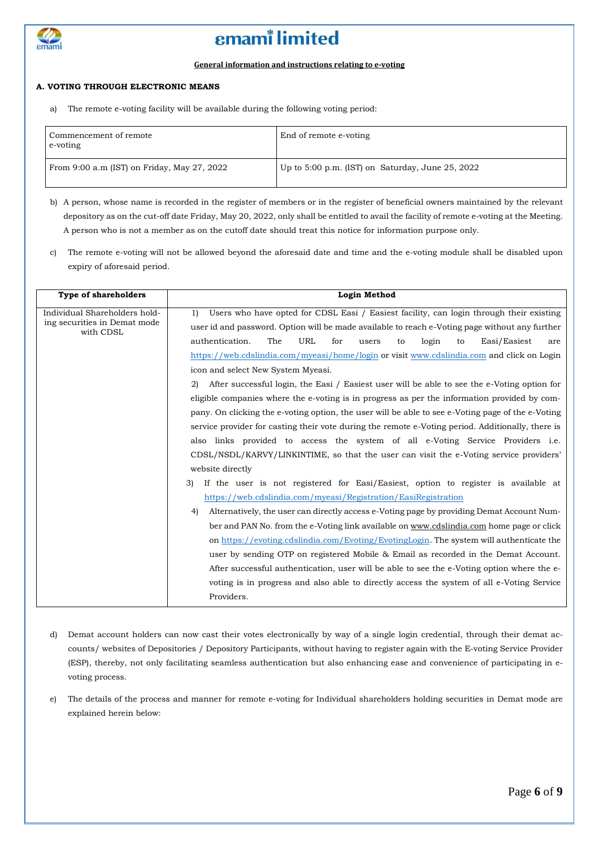

#### **General information and instructions relating to e-voting**

### **A. VOTING THROUGH ELECTRONIC MEANS**

a) The remote e-voting facility will be available during the following voting period:

| Commencement of remote<br>e-voting          | End of remote e-voting                               |
|---------------------------------------------|------------------------------------------------------|
| From 9:00 a.m (IST) on Friday, May 27, 2022 | Up to $5:00$ p.m. (IST) on Saturday, June $25, 2022$ |

b) A person, whose name is recorded in the register of members or in the register of beneficial owners maintained by the relevant depository as on the cut-off date Friday, May 20, 2022, only shall be entitled to avail the facility of remote e-voting at the Meeting. A person who is not a member as on the cutoff date should treat this notice for information purpose only.

c) The remote e-voting will not be allowed beyond the aforesaid date and time and the e-voting module shall be disabled upon expiry of aforesaid period.

| <b>Type of shareholders</b>                                                | <b>Login Method</b>                                                                                                                                                                                                                                                                                                                                                                                                             |
|----------------------------------------------------------------------------|---------------------------------------------------------------------------------------------------------------------------------------------------------------------------------------------------------------------------------------------------------------------------------------------------------------------------------------------------------------------------------------------------------------------------------|
| Individual Shareholders hold-<br>ing securities in Demat mode<br>with CDSL | Users who have opted for CDSL Easi / Easiest facility, can login through their existing<br>1)<br>user id and password. Option will be made available to reach e-Voting page without any further<br>authentication.<br>The<br>URL<br>for<br>login<br>Easi/Easiest<br>users<br>to<br>to<br>are<br>https://web.cdslindia.com/myeasi/home/login or visit www.cdslindia.com and click on Login<br>icon and select New System Myeasi. |
|                                                                            | After successful login, the Easi / Easiest user will be able to see the e-Voting option for<br>2)                                                                                                                                                                                                                                                                                                                               |
|                                                                            | eligible companies where the e-voting is in progress as per the information provided by com-                                                                                                                                                                                                                                                                                                                                    |
|                                                                            | pany. On clicking the e-voting option, the user will be able to see e-Voting page of the e-Voting<br>service provider for casting their vote during the remote e-Voting period. Additionally, there is                                                                                                                                                                                                                          |
|                                                                            | also links provided to access the system of all e-Voting Service Providers <i>i.e.</i>                                                                                                                                                                                                                                                                                                                                          |
|                                                                            | CDSL/NSDL/KARVY/LINKINTIME, so that the user can visit the e-Voting service providers'                                                                                                                                                                                                                                                                                                                                          |
|                                                                            | website directly                                                                                                                                                                                                                                                                                                                                                                                                                |
|                                                                            | If the user is not registered for Easi/Easiest, option to register is available at<br>3)                                                                                                                                                                                                                                                                                                                                        |
|                                                                            | https://web.cdslindia.com/myeasi/Registration/EasiRegistration                                                                                                                                                                                                                                                                                                                                                                  |
|                                                                            | 4)<br>Alternatively, the user can directly access e-Voting page by providing Demat Account Num-                                                                                                                                                                                                                                                                                                                                 |
|                                                                            | ber and PAN No. from the e-Voting link available on www.cdslindia.com home page or click                                                                                                                                                                                                                                                                                                                                        |
|                                                                            | on https://evoting.cdslindia.com/Evoting/EvotingLogin. The system will authenticate the                                                                                                                                                                                                                                                                                                                                         |
|                                                                            | user by sending OTP on registered Mobile & Email as recorded in the Demat Account.                                                                                                                                                                                                                                                                                                                                              |
|                                                                            | After successful authentication, user will be able to see the e-Voting option where the e-                                                                                                                                                                                                                                                                                                                                      |
|                                                                            | voting is in progress and also able to directly access the system of all e-Voting Service                                                                                                                                                                                                                                                                                                                                       |
|                                                                            | Providers.                                                                                                                                                                                                                                                                                                                                                                                                                      |

- d) Demat account holders can now cast their votes electronically by way of a single login credential, through their demat accounts/ websites of Depositories / Depository Participants, without having to register again with the E-voting Service Provider (ESP), thereby, not only facilitating seamless authentication but also enhancing ease and convenience of participating in evoting process.
- e) The details of the process and manner for remote e-voting for Individual shareholders holding securities in Demat mode are explained herein below: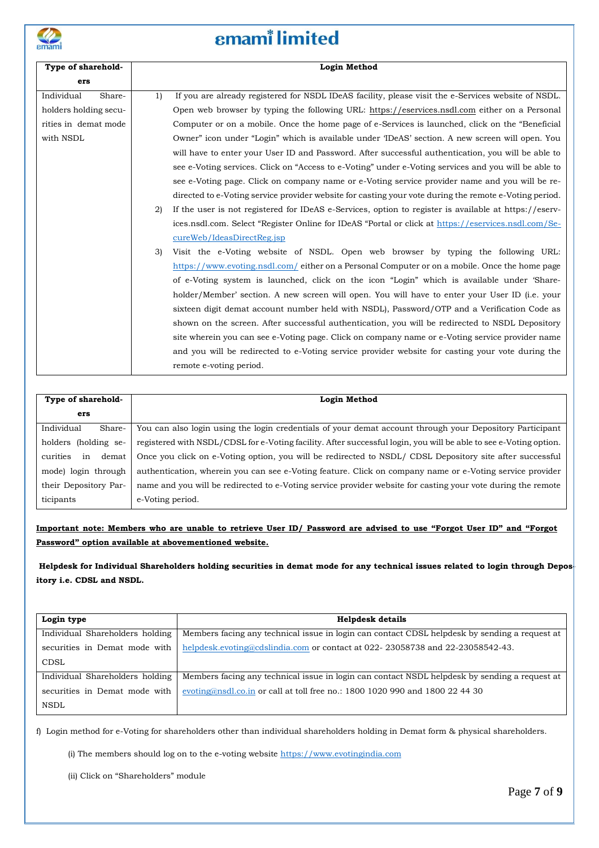

# **emam**<sup>*i*</sup> limited

| Type of sharehold-    |    | <b>Login Method</b>                                                                                    |
|-----------------------|----|--------------------------------------------------------------------------------------------------------|
| ers                   |    |                                                                                                        |
| Individual<br>Share-  | 1) | If you are already registered for NSDL IDeAS facility, please visit the e-Services website of NSDL.    |
| holders holding secu- |    | Open web browser by typing the following URL: https://eservices.nsdl.com either on a Personal          |
| rities in demat mode  |    | Computer or on a mobile. Once the home page of e-Services is launched, click on the "Beneficial"       |
| with NSDL             |    | Owner" icon under "Login" which is available under 'IDeAS' section. A new screen will open. You        |
|                       |    | will have to enter your User ID and Password. After successful authentication, you will be able to     |
|                       |    | see e-Voting services. Click on "Access to e-Voting" under e-Voting services and you will be able to   |
|                       |    | see e-Voting page. Click on company name or e-Voting service provider name and you will be re-         |
|                       |    | directed to e-Voting service provider website for casting your vote during the remote e-Voting period. |
|                       | 2) | If the user is not registered for IDeAS e-Services, option to register is available at https://eserv-  |
|                       |    | ices.nsdl.com. Select "Register Online for IDeAS "Portal or click at https://eservices.nsdl.com/Se-    |
|                       |    | cureWeb/IdeasDirectReg.jsp                                                                             |
|                       | 3) | Visit the e-Voting website of NSDL. Open web browser by typing the following URL:                      |
|                       |    | https://www.evoting.nsdl.com/either on a Personal Computer or on a mobile. Once the home page          |
|                       |    | of e-Voting system is launched, click on the icon "Login" which is available under 'Share-             |
|                       |    | holder/Member' section. A new screen will open. You will have to enter your User ID (i.e. your         |
|                       |    | sixteen digit demat account number held with NSDL), Password/OTP and a Verification Code as            |
|                       |    | shown on the screen. After successful authentication, you will be redirected to NSDL Depository        |
|                       |    | site wherein you can see e-Voting page. Click on company name or e-Voting service provider name        |
|                       |    | and you will be redirected to e-Voting service provider website for casting your vote during the       |
|                       |    | remote e-voting period.                                                                                |
|                       |    |                                                                                                        |

| Type of sharehold-      | Login Method                                                                                                      |  |
|-------------------------|-------------------------------------------------------------------------------------------------------------------|--|
|                         |                                                                                                                   |  |
| ers                     |                                                                                                                   |  |
| Individual<br>Share-    | You can also login using the login credentials of your demat account through your Depository Participant          |  |
| holders (holding se-    | registered with NSDL/CDSL for e-Voting facility. After successful login, you will be able to see e-Voting option. |  |
| curities<br>demat<br>in | Once you click on e-Voting option, you will be redirected to NSDL/ CDSL Depository site after successful          |  |
| mode) login through     | authentication, wherein you can see e-Voting feature. Click on company name or e-Voting service provider          |  |
| their Depository Par-   | name and you will be redirected to e-Voting service provider website for casting your vote during the remote      |  |
| ticipants               | e-Voting period.                                                                                                  |  |

### Important note: Members who are unable to retrieve User ID/ Password are advised to use "Forgot User ID" and "Forgot **Password" option available at abovementioned website.**

Helpdesk for Individual Shareholders holding securities in demat mode for any technical issues related to login through Depos **itory i.e. CDSL and NSDL.**

| Login type                      | <b>Helpdesk details</b>                                                                       |
|---------------------------------|-----------------------------------------------------------------------------------------------|
| Individual Shareholders holding | Members facing any technical issue in login can contact CDSL helpdesk by sending a request at |
| securities in Demat mode with   | helpdesk.evoting@cdslindia.com or contact at 022-23058738 and 22-23058542-43.                 |
| CDSL                            |                                                                                               |
| Individual Shareholders holding | Members facing any technical issue in login can contact NSDL helpdesk by sending a request at |
| securities in Demat mode with   | evoting@nsdl.co.in or call at toll free no.: 1800 1020 990 and 1800 22 44 30                  |
| <b>NSDL</b>                     |                                                                                               |

f) Login method for e-Voting for shareholders other than individual shareholders holding in Demat form & physical shareholders.

(i) The members should log on to the e-voting website  $\frac{\text{https://www.evotingindia.com}}{\text{https://www.evotingindia.com}}$ 

(ii) Click on "Shareholders" module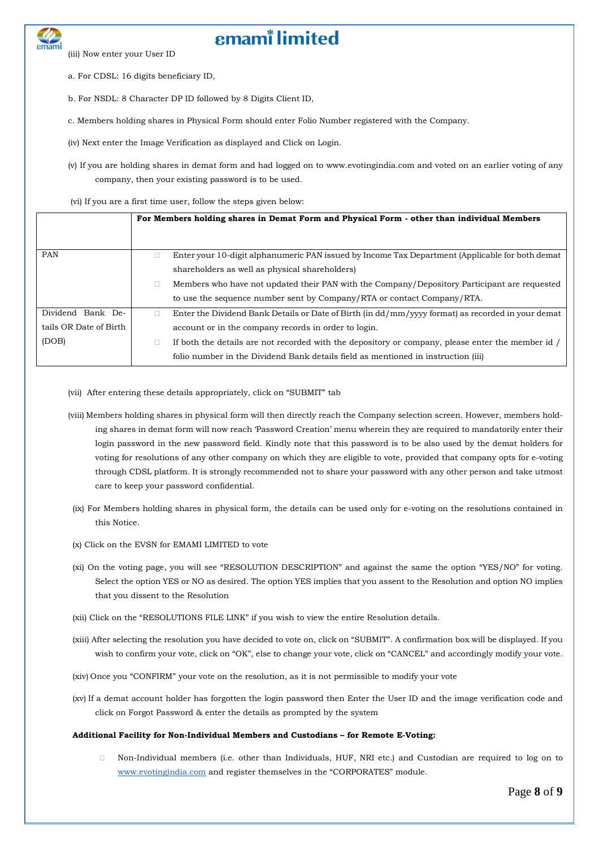(iii) Now enter your User ID

a. For CDSL: 16 digits beneficiary ID,

b. For NSDL: 8 Character DP ID followed by 8 Digits Client ID,

c. Members holding shares in Physical Form should enter Folio Number registered with the Company.

(iv) Next enter the Image Verification as displayed and Click on Login.

(v) If you are holding shares in demat form and had logged on to www.evotingindia.com and voted on an earlier voting of any company, then your existing password is to be used.

(vi) If you are a first time user, follow the steps given below:

|                        | For Members holding shares in Demat Form and Physical Form - other than individual Members        |
|------------------------|---------------------------------------------------------------------------------------------------|
| <b>PAN</b>             | Enter your 10-digit alphanumeric PAN issued by Income Tax Department (Applicable for both demat   |
|                        | shareholders as well as physical shareholders)                                                    |
|                        | Members who have not updated their PAN with the Company/Depository Participant are requested      |
|                        | to use the sequence number sent by Company/RTA or contact Company/RTA.                            |
| Dividend Bank De-      | Enter the Dividend Bank Details or Date of Birth (in dd/mm/yyyy format) as recorded in your demat |
| tails OR Date of Birth | account or in the company records in order to login.                                              |
| (DOB)                  | If both the details are not recorded with the depository or company, please enter the member id / |
|                        | folio number in the Dividend Bank details field as mentioned in instruction (iii)                 |

- (vii) After entering these details appropriately, click on "SUBMIT" tab
- (viii) Members holding shares in physical form will then directly reach the Company selection screen. However, members holding shares in demat form will now reach 'Password Creation' menu wherein they are required to mandatorily enter their login password in the new password field. Kindly note that this password is to be also used by the demat holders for voting for resolutions of any other company on which they are eligible to vote, provided that company opts for e-voting through CDSL platform. It is strongly recommended not to share your password with any other person and take utmost care to keep your password confidential.
- (ix) For Members holding shares in physical form, the details can be used only for e-voting on the resolutions contained in this Notice.
- (x) Click on the EVSN for EMAMI LIMITED to vote
- (xi) On the voting page, you will see "RESOLUTION DESCRIPTION" and against the same the option "YES/NO" for voting. Select the option YES or NO as desired. The option YES implies that you assent to the Resolution and option NO implies that you dissent to the Resolution
- (xii) Click on the "RESOLUTIONS FILE LINK" if you wish to view the entire Resolution details.
- (xiii) After selecting the resolution you have decided to vote on, click on "SUBMIT". A confirmation box will be displayed. If you wish to confirm your vote, click on "OK", else to change your vote, click on "CANCEL" and accordingly modify your vote.
- (xiv) Once you "CONFIRM" your vote on the resolution, as it is not permissible to modify your vote
- (xv) If a demat account holder has forgotten the login password then Enter the User ID and the image verification code and click on Forgot Password & enter the details as prompted by the system

#### **Additional Facility for Non-Individual Members and Custodians – for Remote E-Voting:**

 Non-Individual members (i.e. other than Individuals, HUF, NRI etc.) and Custodian are required to log on to [www.evotingindia.com](http://www.evotingindia.com/) and register themselves in the "CORPORATES" module.